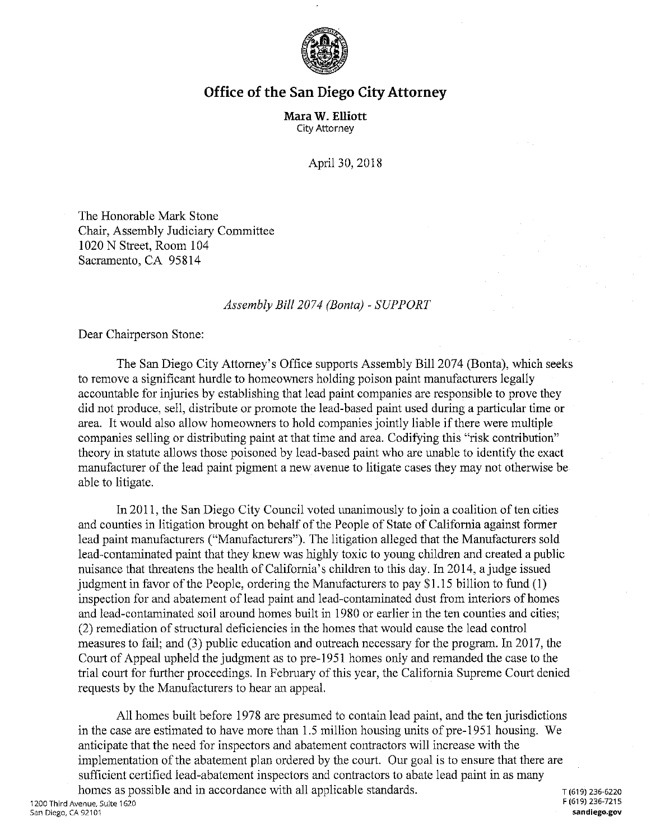

## **Office of the San Diego City Attorney**

**Mara W. Elliott**  City Attorney

April 30, 2018

The Honorable Mark Stone Chair, Assembly Judiciary Committee 1020 N Street, Room 104 Sacramento, CA 95814

## *Assembly Bill 2074 (Banta)* - *SUPPORT*

Dear Chairperson Stone:

The San Diego City Attorney's Office supports Assembly Bill 2074 (Bonta), which seeks to remove a significant hurdle to homeowners holding poison paint manufacturers legally accountable for injuries by establishing that lead paint companies are responsible to prove they did not produce, sell, distribute or promote the lead-based paint used during a particular time or area. It would also allow homeowners to hold companies jointly liable if there were multiple companies selling or distributing paint at that time and area. Codifying this "risk contribution" theory in statute allows those poisoned by lead-based paint who are unable to identify the exact manufacturer of the lead paint pigment a new avenue to litigate cases they may not otherwise be able to litigate.

In 2011, the San Diego City Council voted unanimously to join a coalition often cities and counties in litigation brought on behalf of the People of State of California against former lead paint manufacturers ("Manufacturers"). The litigation alleged that the Manufacturers sold lead-contaminated paint that they knew was highly toxic to young children and created a public nuisance that threatens the health of California's children to this day. In 2014, a judge issued judgment in favor of the People, ordering the Manufacturers to pay \$1.15 billion to fund (I) inspection for and abatement of lead paint and lead-contaminated dust from interiors of homes and lead-contaminated soil around homes built in 1980 or earlier in the ten counties and cities; (2) remediation of structural deficiencies in the homes that would cause the lead control measures to fail; and (3) public education and outreach necessary for the program. In 2017, the Court of Appeal upheld the judgment as to pre-1951 homes only and remanded the case to the trial court for further proceedings. In February of this year, the California Supreme Court denied requests by the Manufacturers to hear an appeal.

All homes built before 1978 are presumed to contain lead paint, and the ten jurisdictions in the case are estimated to have more than 1.5 million housing units of pre-1951 housing. We anticipate that the need for inspectors and abatement contractors will increase with the implementation of the abatement plan ordered by the court. Our goal is to ensure that there are sufficient certified lead-abatement inspectors and contractors to abate lead paint in as many

homes as possible and in accordance with all applicable standards.<br>  $\frac{1}{1619}$   $\frac{1}{236-7215}$ 1200 Third Avenue, Suite 1620 San Diego, CA 92101 **sandiego.gov**